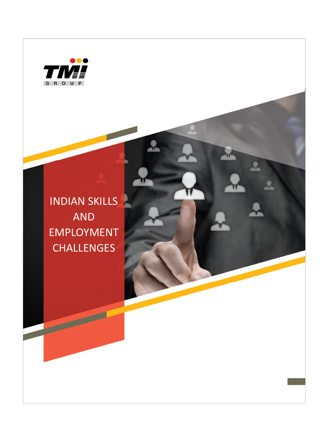

INDIAN SKILLS AND EMPLOYMENT **CHALLENGES** 

 $\sqrt{}$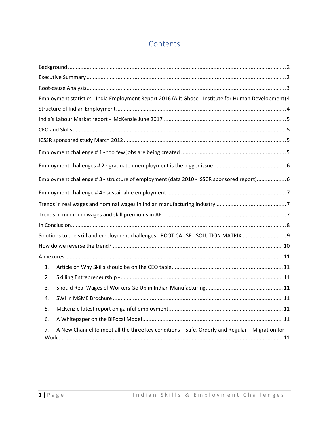# **Contents**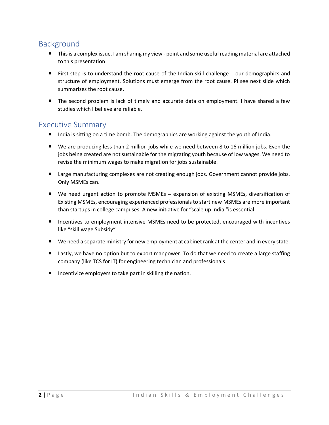## Background

- This is a complex issue. I am sharing my view point and some useful reading material are attached to this presentation
- First step is to understand the root cause of the Indian skill challenge  $-$  our demographics and structure of employment. Solutions must emerge from the root cause. Pl see next slide which summarizes the root cause.
- The second problem is lack of timely and accurate data on employment. I have shared a few studies which I believe are reliable.

#### Executive Summary

- India is sitting on a time bomb. The demographics are working against the youth of India.
- We are producing less than 2 million jobs while we need between 8 to 16 million jobs. Even the jobs being created are not sustainable for the migrating youth because of low wages. We need to revise the minimum wages to make migration for jobs sustainable.
- **E** Large manufacturing complexes are not creating enough jobs. Government cannot provide jobs. Only MSMEs can.
- We need urgent action to promote MSMEs expansion of existing MSMEs, diversification of Existing MSMEs, encouraging experienced professionals to start new MSMEs are more important than startups in college campuses. A new initiative for "scale up India "is essential.
- Incentives to employment intensive MSMEs need to be protected, encouraged with incentives like "skill wage Subsidy"
- We need a separate ministry for new employment at cabinet rank at the center and in every state.
- Lastly, we have no option but to export manpower. To do that we need to create a large staffing company (like TCS for IT) for engineering technician and professionals
- **IF Incentivize employers to take part in skilling the nation.**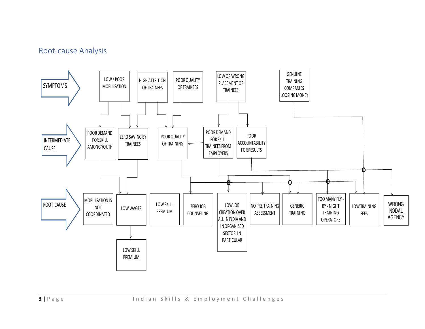## Root-cause Analysis

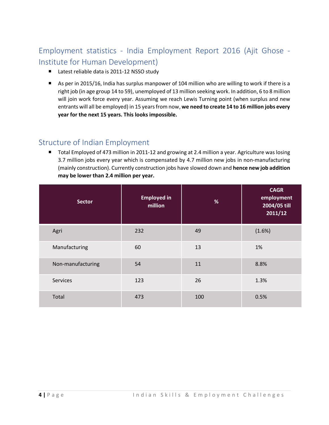# Employment statistics - India Employment Report 2016 (Ajit Ghose - Institute for Human Development)

- Latest reliable data is 2011-12 NSSO study
- As per in 2015/16, India has surplus manpower of 104 million who are willing to work if there is a right job (in age group 14 to 59), unemployed of 13 million seeking work. In addition, 6 to 8 million will join work force every year. Assuming we reach Lewis Turning point (when surplus and new entrants will all be employed) in 15 years from now, **we need to create 14 to 16 million jobs every year for the next 15 years. This looks impossible.**

#### Structure of Indian Employment

■ Total Employed of 473 million in 2011-12 and growing at 2.4 million a year. Agriculture was losing 3.7 million jobs every year which is compensated by 4.7 million new jobs in non-manufacturing (mainly construction). Currently construction jobs have slowed down and **hence new job addition may be lower than 2.4 million per year.**

| <b>Sector</b>     | <b>Employed in</b><br>million | %   | <b>CAGR</b><br>employment<br>2004/05 till<br>2011/12 |
|-------------------|-------------------------------|-----|------------------------------------------------------|
| Agri              | 232                           | 49  | (1.6%)                                               |
| Manufacturing     | 60                            | 13  | 1%                                                   |
| Non-manufacturing | 54                            | 11  | 8.8%                                                 |
| Services          | 123                           | 26  | 1.3%                                                 |
| Total             | 473                           | 100 | 0.5%                                                 |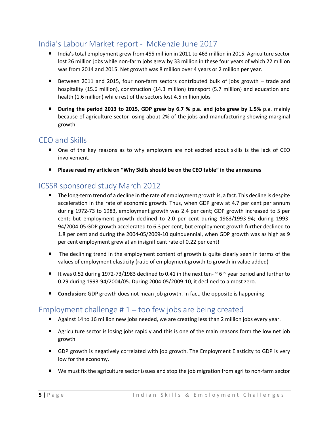### India's Labour Market report - McKenzie June 2017

- India's total employment grew from 455 million in 2011 to 463 million in 2015. Agriculture sector lost 26 million jobs while non-farm jobs grew by 33 million in these four years of which 22 million was from 2014 and 2015. Net growth was 8 million over 4 years or 2 million per year.
- Between 2011 and 2015, four non-farm sectors contributed bulk of jobs growth trade and hospitality (15.6 million), construction (14.3 million) transport (5.7 million) and education and health (1.6 million) while rest of the sectors lost 4.5 million jobs
- **During the period 2013 to 2015, GDP grew by 6.7 % p.a. and jobs grew by 1.5%** p.a. mainly because of agriculture sector losing about 2% of the jobs and manufacturing showing marginal growth

#### CEO and Skills

- One of the key reasons as to why employers are not excited about skills is the lack of CEO involvement.
- **Please read my article on "Why Skills should be on the CEO table" in the annexures**

### ICSSR sponsored study March 2012

- $\blacksquare$  The long-term trend of a decline in the rate of employment growth is, a fact. This decline is despite acceleration in the rate of economic growth. Thus, when GDP grew at 4.7 per cent per annum during 1972-73 to 1983, employment growth was 2.4 per cent; GDP growth increased to 5 per cent; but employment growth declined to 2.0 per cent during 1983/1993-94; during 1993- 94/2004-05 GDP growth accelerated to 6.3 per cent, but employment growth further declined to 1.8 per cent and during the 2004-05/2009-10 quinquennial, when GDP growth was as high as 9 per cent employment grew at an insignificant rate of 0.22 per cent!
- The declining trend in the employment content of growth is quite clearly seen in terms of the values of employment elasticity (ratio of employment growth to growth in value added)
- It was 0.52 during 1972-73/1983 declined to 0.41 in the next ten- $\sim$  6  $\sim$  year period and further to 0.29 during 1993-94/2004/05. During 2004-05/2009-10, it declined to almost zero.
- **Conclusion**: GDP growth does not mean job growth. In fact, the opposite is happening

#### Employment challenge  $# 1$  – too few jobs are being created

- Against 14 to 16 million new jobs needed, we are creating less than 2 million jobs every year.
- **E** Agriculture sector is losing jobs rapidly and this is one of the main reasons form the low net job growth
- **GDP** growth is negatively correlated with job growth. The Employment Elasticity to GDP is very low for the economy.
- We must fix the agriculture sector issues and stop the job migration from agri to non-farm sector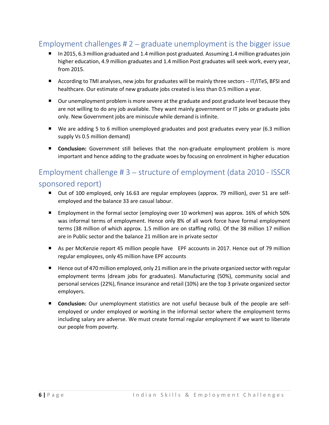## Employment challenges # 2 – graduate unemployment is the bigger issue

- In 2015, 6.3 million graduated and 1.4 million post graduated. Assuming 1.4 million graduates join higher education, 4.9 million graduates and 1.4 million Post graduates will seek work, every year, from 2015.
- According to TMI analyses, new jobs for graduates will be mainly three sectors IT/ITeS, BFSI and healthcare. Our estimate of new graduate jobs created is less than 0.5 million a year.
- Our unemployment problem is more severe at the graduate and post graduate level because they are not willing to do any job available. They want mainly government or IT jobs or graduate jobs only. New Government jobs are miniscule while demand is infinite.
- We are adding 5 to 6 million unemployed graduates and post graduates every year (6.3 million supply Vs 0.5 million demand)
- **Conclusion:** Government still believes that the non-graduate employment problem is more important and hence adding to the graduate woes by focusing on enrolment in higher education

## Employment challenge # 3 – structure of employment (data 2010 - ISSCR sponsored report)

- Out of 100 employed, only 16.63 are regular employees (approx. 79 million), over 51 are selfemployed and the balance 33 are casual labour.
- Employment in the formal sector (employing over 10 workmen) was approx. 16% of which 50% was informal terms of employment. Hence only 8% of all work force have formal employment terms (38 million of which approx. 1.5 million are on staffing rolls). Of the 38 million 17 million are in Public sector and the balance 21 million are in private sector
- As per McKenzie report 45 million people have EPF accounts in 2017. Hence out of 79 million regular employees, only 45 million have EPF accounts
- Hence out of 470 million employed, only 21 million are in the private organized sector with regular employment terms (dream jobs for graduates). Manufacturing (50%), community social and personal services (22%), finance insurance and retail (10%) are the top 3 private organized sector employers.
- **Conclusion:** Our unemployment statistics are not useful because bulk of the people are selfemployed or under employed or working in the informal sector where the employment terms including salary are adverse. We must create formal regular employment if we want to liberate our people from poverty.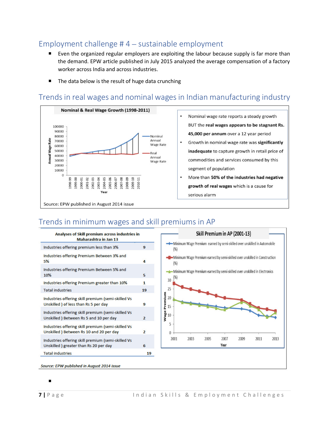### Employment challenge # 4 – sustainable employment

- Even the organized regular employers are exploiting the labour because supply is far more than the demand. EPW article published in July 2015 analyzed the average compensation of a factory worker across India and across industries.
- The data below is the result of huge data crunching

### Trends in real wages and nominal wages in Indian manufacturing industry



- . Nominal wage rate reports a steady growth BUT the real wages appears to be stagnant Rs. 45,000 per annum over a 12 year period Growth in nominal wage rate was significantly inadequate to capture growth in retail price of commodities and services consumed by this segment of population
	- More than 50% of the industries had negative growth of real wages which is a cause for serious alarm

## Trends in minimum wages and skill premiums in AP

| <b>Analyses of Skill premium across industries in</b><br><b>Maharashtra in Jan 13</b>         |                |
|-----------------------------------------------------------------------------------------------|----------------|
| Industries offering premium less than 3%                                                      | q              |
| Industries offering Premium Between 3% and<br>5%                                              | 4              |
| Industries offering Premium Between 5% and<br>10%                                             | 5              |
| Industries offering Premium greater than 10%                                                  | 1              |
| <b>Total industries</b>                                                                       | 19             |
| Industries offering skill premium (semi-skilled Vs<br>Unskilled ) of less than Rs 5 per day   | g              |
| Industries offering skill premium (semi-skilled Vs<br>Unskilled) Between Rs 5 and 10 per day  | $\overline{2}$ |
| Industries offering skill premium (semi-skilled Vs<br>Unskilled) Between Rs 10 and 20 per day | 2              |
| Industries offering skill premium (semi-skilled Vs<br>Unskilled ) greater than Rs 20 per day  | 6              |
| <b>Total industries</b>                                                                       | 19             |



Source: EPW published in August 2014 issue

```
\blacksquare
```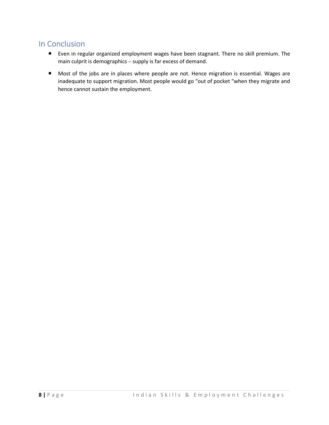## In Conclusion

- Even in regular organized employment wages have been stagnant. There no skill premium. The main culprit is demographics – supply is far excess of demand.
- **Most of the jobs are in places where people are not. Hence migration is essential. Wages are** inadequate to support migration. Most people would go "out of pocket "when they migrate and hence cannot sustain the employment.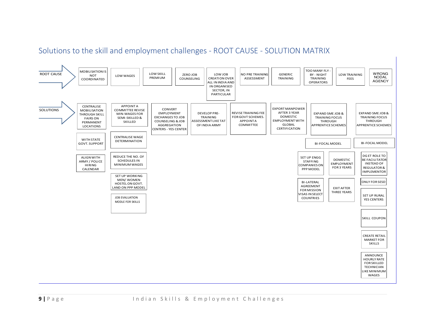## Solutions to the skill and employment challenges - ROOT CAUSE - SOLUTION MATRIX

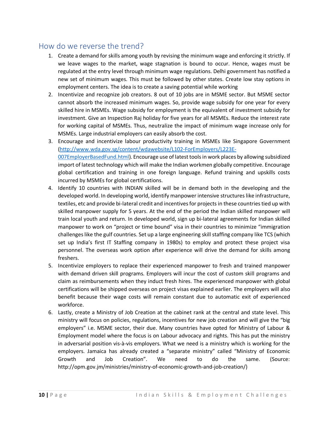#### How do we reverse the trend?

- 1. Create a demand for skills among youth by revising the minimum wage and enforcing it strictly. If we leave wages to the market, wage stagnation is bound to occur. Hence, wages must be regulated at the entry level through minimum wage regulations. Delhi government has notified a new set of minimum wages. This must be followed by other states. Create low stay options in employment centers. The idea is to create a saving potential while working
- 2. Incentivize and recognize job creators. 8 out of 10 jobs are in MSME sector. But MSME sector cannot absorb the increased minimum wages. So, provide wage subsidy for one year for every skilled hire in MSMEs. Wage subsidy for employment is the equivalent of investment subsidy for investment. Give an Inspection Raj holiday for five years for all MSMEs. Reduce the interest rate for working capital of MSMEs. Thus, neutralize the impact of minimum wage increase only for MSMEs. Large industrial employers can easily absorb the cost.
- 3. Encourage and incentivize labour productivity training in MSMEs like Singapore Government (http://www.wda.gov.sg/content/wdawebsite/L102-ForEmployers/L223E-007EmployerBasedFund.html). Encourage use of latest tools in work places by allowing subsidized import of latest technology which will make the Indian workmen globally competitive. Encourage global certification and training in one foreign language. Refund training and upskills costs incurred by MSMEs for global certifications.
- 4. Identify 10 countries with INDIAN skilled will be in demand both in the developing and the developed world. In developing world, identify manpower intensive structures like infrastructure, textiles, etc and provide bi-lateral credit and incentives for projects in these countries tied up with skilled manpower supply for 5 years. At the end of the period the Indian skilled manpower will train local youth and return. In developed world, sign up bi-lateral agreements for Indian skilled manpower to work on "project or time bound" visa in their countries to minimize "immigration challenges like the gulf countries. Set up a large engineering skill staffing company like TCS (which set up India's first IT Staffing company in 1980s) to employ and protect these project visa personnel. The overseas work option after experience will drive the demand for skills among freshers.
- 5. Incentivize employers to replace their experienced manpower to fresh and trained manpower with demand driven skill programs. Employers will incur the cost of custom skill programs and claim as reimbursements when they induct fresh hires. The experienced manpower with global certifications will be shipped overseas on project visas explained earlier. The employers will also benefit because their wage costs will remain constant due to automatic exit of experienced workforce.
- 6. Lastly, create a Ministry of Job Creation at the cabinet rank at the central and state level. This ministry will focus on policies, regulations, incentives for new job creation and will give the "big employers" i.e. MSME sector, their due. Many countries have opted for Ministry of Labour & Employment model where the focus is on Labour advocacy and rights. This has put the ministry in adversarial position vis-à-vis employers. What we need is a ministry which is working for the employers. Jamaica has already created a "separate ministry" called "Ministry of Economic Growth and Job Creation". We need to do the same. (Source: http://opm.gov.jm/ministries/ministry-of-economic-growth-and-job-creation/)